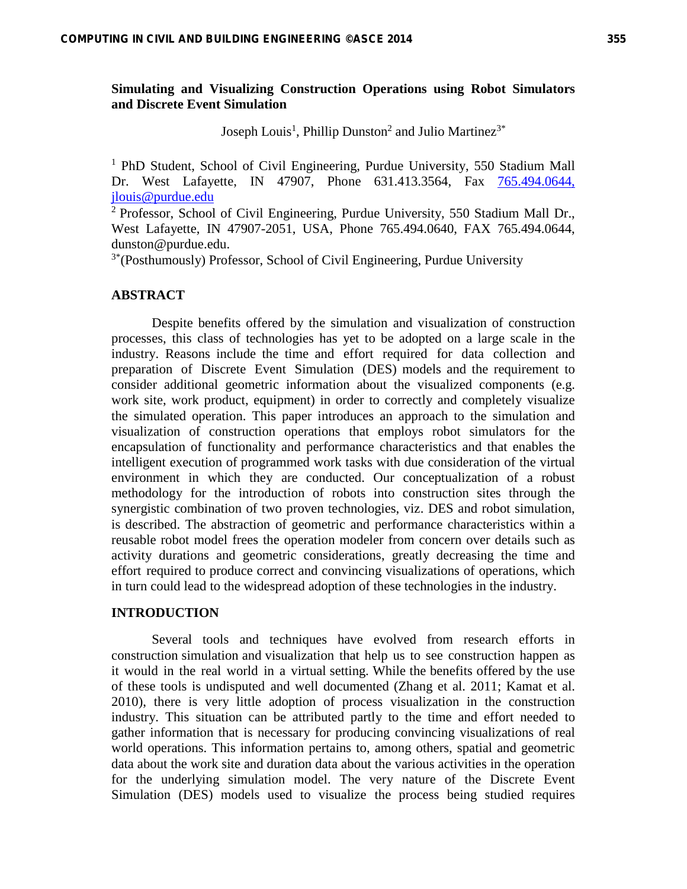# **Simulating and Visualizing Construction Operations using Robot Simulators and Discrete Event Simulation**

Joseph Louis<sup>1</sup>, Phillip Dunston<sup>2</sup> and Julio Martinez<sup>3\*</sup>

<sup>1</sup> PhD Student, School of Civil Engineering, Purdue University, 550 Stadium Mall Dr. West Lafayette, IN 47907, Phone 631.413.3564, Fax 765.494.0644, jlouis@purdue.edu

<sup>2</sup> Professor, School of Civil Engineering, Purdue University, 550 Stadium Mall Dr., West Lafayette, IN 47907-2051, USA, Phone 765.494.0640, FAX 765.494.0644, dunston@purdue.edu.

<sup>3\*</sup>(Posthumously) Professor, School of Civil Engineering, Purdue University

## **ABSTRACT**

Despite benefits offered by the simulation and visualization of construction processes, this class of technologies has yet to be adopted on a large scale in the industry. Reasons include the time and effort required for data collection and preparation of Discrete Event Simulation (DES) models and the requirement to consider additional geometric information about the visualized components (e.g. work site, work product, equipment) in order to correctly and completely visualize the simulated operation. This paper introduces an approach to the simulation and visualization of construction operations that employs robot simulators for the encapsulation of functionality and performance characteristics and that enables the intelligent execution of programmed work tasks with due consideration of the virtual environment in which they are conducted. Our conceptualization of a robust methodology for the introduction of robots into construction sites through the synergistic combination of two proven technologies, viz. DES and robot simulation, is described. The abstraction of geometric and performance characteristics within a reusable robot model frees the operation modeler from concern over details such as activity durations and geometric considerations, greatly decreasing the time and effort required to produce correct and convincing visualizations of operations, which in turn could lead to the widespread adoption of these technologies in the industry.

## **INTRODUCTION**

Several tools and techniques have evolved from research efforts in construction simulation and visualization that help us to see construction happen as it would in the real world in a virtual setting. While the benefits offered by the use of these tools is undisputed and well documented (Zhang et al. 2011; Kamat et al. 2010), there is very little adoption of process visualization in the construction industry. This situation can be attributed partly to the time and effort needed to gather information that is necessary for producing convincing visualizations of real world operations. This information pertains to, among others, spatial and geometric data about the work site and duration data about the various activities in the operation for the underlying simulation model. The very nature of the Discrete Event Simulation (DES) models used to visualize the process being studied requires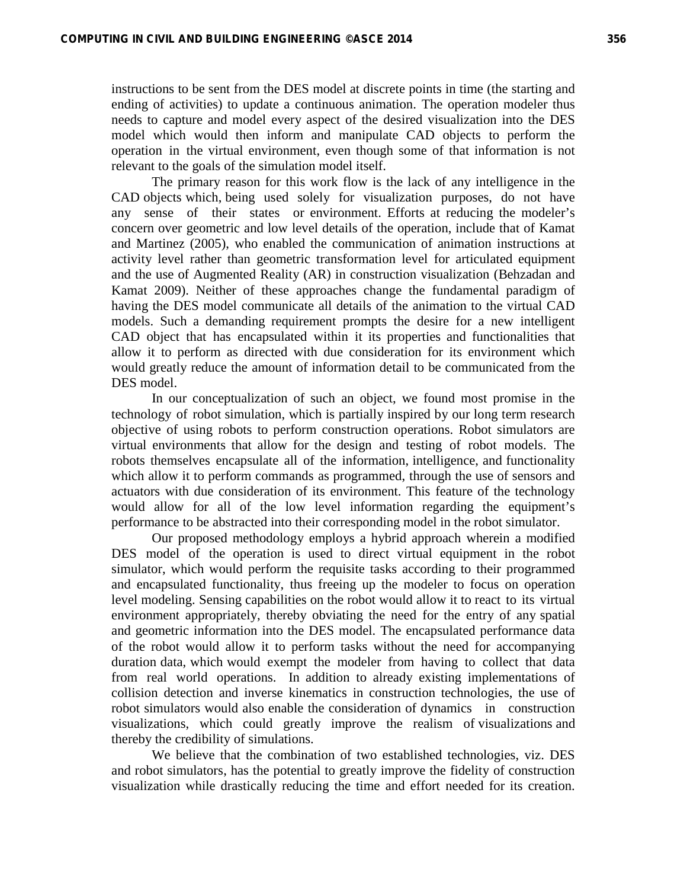instructions to be sent from the DES model at discrete points in time (the starting and ending of activities) to update a continuous animation. The operation modeler thus needs to capture and model every aspect of the desired visualization into the DES model which would then inform and manipulate CAD objects to perform the operation in the virtual environment, even though some of that information is not relevant to the goals of the simulation model itself.

The primary reason for this work flow is the lack of any intelligence in the CAD objects which, being used solely for visualization purposes, do not have any sense of their states or environment. Efforts at reducing the modeler's concern over geometric and low level details of the operation, include that of Kamat and Martinez (2005), who enabled the communication of animation instructions at activity level rather than geometric transformation level for articulated equipment and the use of Augmented Reality (AR) in construction visualization (Behzadan and Kamat 2009). Neither of these approaches change the fundamental paradigm of having the DES model communicate all details of the animation to the virtual CAD models. Such a demanding requirement prompts the desire for a new intelligent CAD object that has encapsulated within it its properties and functionalities that allow it to perform as directed with due consideration for its environment which would greatly reduce the amount of information detail to be communicated from the DES model.

In our conceptualization of such an object, we found most promise in the technology of robot simulation, which is partially inspired by our long term research objective of using robots to perform construction operations. Robot simulators are virtual environments that allow for the design and testing of robot models. The robots themselves encapsulate all of the information, intelligence, and functionality which allow it to perform commands as programmed, through the use of sensors and actuators with due consideration of its environment. This feature of the technology would allow for all of the low level information regarding the equipment's performance to be abstracted into their corresponding model in the robot simulator.

Our proposed methodology employs a hybrid approach wherein a modified DES model of the operation is used to direct virtual equipment in the robot simulator, which would perform the requisite tasks according to their programmed and encapsulated functionality, thus freeing up the modeler to focus on operation level modeling. Sensing capabilities on the robot would allow it to react to its virtual environment appropriately, thereby obviating the need for the entry of any spatial and geometric information into the DES model. The encapsulated performance data of the robot would allow it to perform tasks without the need for accompanying duration data, which would exempt the modeler from having to collect that data from real world operations. In addition to already existing implementations of collision detection and inverse kinematics in construction technologies, the use of robot simulators would also enable the consideration of dynamics in construction visualizations, which could greatly improve the realism of visualizations and thereby the credibility of simulations.

We believe that the combination of two established technologies, viz. DES and robot simulators, has the potential to greatly improve the fidelity of construction visualization while drastically reducing the time and effort needed for its creation.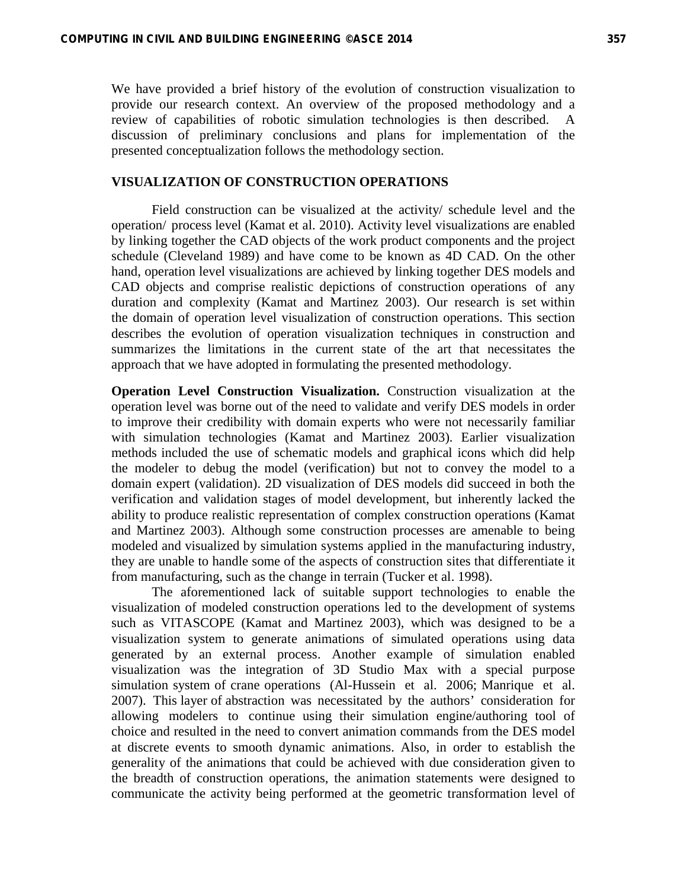We have provided a brief history of the evolution of construction visualization to provide our research context. An overview of the proposed methodology and a review of capabilities of robotic simulation technologies is then described. A discussion of preliminary conclusions and plans for implementation of the presented conceptualization follows the methodology section.

## **VISUALIZATION OF CONSTRUCTION OPERATIONS**

Field construction can be visualized at the activity/ schedule level and the operation/ process level (Kamat et al. 2010). Activity level visualizations are enabled by linking together the CAD objects of the work product components and the project schedule (Cleveland 1989) and have come to be known as 4D CAD. On the other hand, operation level visualizations are achieved by linking together DES models and CAD objects and comprise realistic depictions of construction operations of any duration and complexity (Kamat and Martinez 2003). Our research is set within the domain of operation level visualization of construction operations. This section describes the evolution of operation visualization techniques in construction and summarizes the limitations in the current state of the art that necessitates the approach that we have adopted in formulating the presented methodology.

**Operation Level Construction Visualization.** Construction visualization at the operation level was borne out of the need to validate and verify DES models in order to improve their credibility with domain experts who were not necessarily familiar with simulation technologies (Kamat and Martinez 2003). Earlier visualization methods included the use of schematic models and graphical icons which did help the modeler to debug the model (verification) but not to convey the model to a domain expert (validation). 2D visualization of DES models did succeed in both the verification and validation stages of model development, but inherently lacked the ability to produce realistic representation of complex construction operations (Kamat and Martinez 2003). Although some construction processes are amenable to being modeled and visualized by simulation systems applied in the manufacturing industry, they are unable to handle some of the aspects of construction sites that differentiate it from manufacturing, such as the change in terrain (Tucker et al. 1998).

The aforementioned lack of suitable support technologies to enable the visualization of modeled construction operations led to the development of systems such as VITASCOPE (Kamat and Martinez 2003), which was designed to be a visualization system to generate animations of simulated operations using data generated by an external process. Another example of simulation enabled visualization was the integration of 3D Studio Max with a special purpose simulation system of crane operations (Al-Hussein et al. 2006; Manrique et al. 2007). This layer of abstraction was necessitated by the authors' consideration for allowing modelers to continue using their simulation engine/authoring tool of choice and resulted in the need to convert animation commands from the DES model at discrete events to smooth dynamic animations. Also, in order to establish the generality of the animations that could be achieved with due consideration given to the breadth of construction operations, the animation statements were designed to communicate the activity being performed at the geometric transformation level of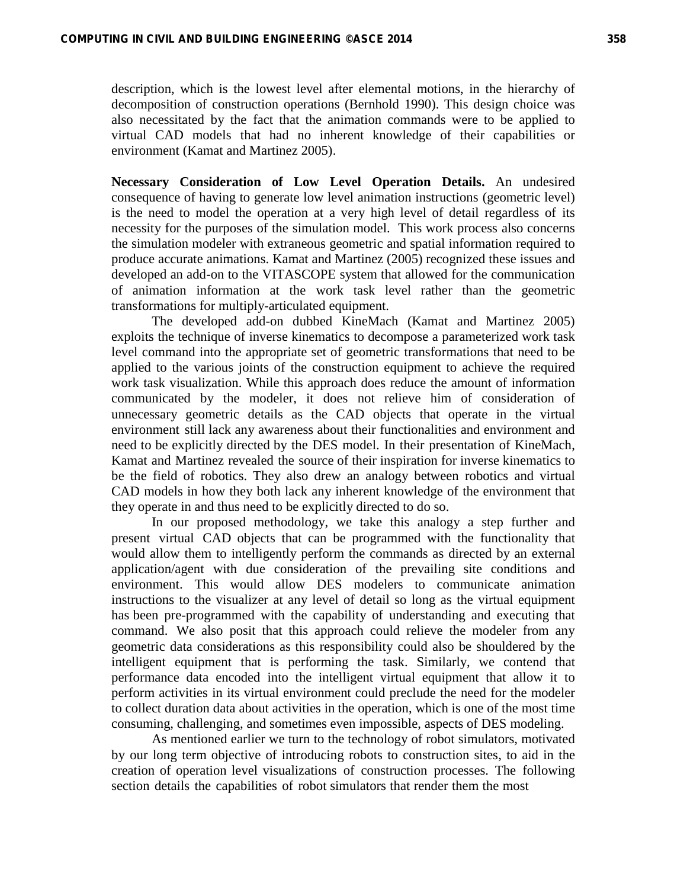description, which is the lowest level after elemental motions, in the hierarchy of decomposition of construction operations (Bernhold 1990). This design choice was also necessitated by the fact that the animation commands were to be applied to virtual CAD models that had no inherent knowledge of their capabilities or environment (Kamat and Martinez 2005).

**Necessary Consideration of Low Level Operation Details.** An undesired consequence of having to generate low level animation instructions (geometric level) is the need to model the operation at a very high level of detail regardless of its necessity for the purposes of the simulation model. This work process also concerns the simulation modeler with extraneous geometric and spatial information required to produce accurate animations. Kamat and Martinez (2005) recognized these issues and developed an add-on to the VITASCOPE system that allowed for the communication of animation information at the work task level rather than the geometric transformations for multiply-articulated equipment.

The developed add-on dubbed KineMach (Kamat and Martinez 2005) exploits the technique of inverse kinematics to decompose a parameterized work task level command into the appropriate set of geometric transformations that need to be applied to the various joints of the construction equipment to achieve the required work task visualization. While this approach does reduce the amount of information communicated by the modeler, it does not relieve him of consideration of unnecessary geometric details as the CAD objects that operate in the virtual environment still lack any awareness about their functionalities and environment and need to be explicitly directed by the DES model. In their presentation of KineMach, Kamat and Martinez revealed the source of their inspiration for inverse kinematics to be the field of robotics. They also drew an analogy between robotics and virtual CAD models in how they both lack any inherent knowledge of the environment that they operate in and thus need to be explicitly directed to do so.

In our proposed methodology, we take this analogy a step further and present virtual CAD objects that can be programmed with the functionality that would allow them to intelligently perform the commands as directed by an external application/agent with due consideration of the prevailing site conditions and environment. This would allow DES modelers to communicate animation instructions to the visualizer at any level of detail so long as the virtual equipment has been pre-programmed with the capability of understanding and executing that command. We also posit that this approach could relieve the modeler from any geometric data considerations as this responsibility could also be shouldered by the intelligent equipment that is performing the task. Similarly, we contend that performance data encoded into the intelligent virtual equipment that allow it to perform activities in its virtual environment could preclude the need for the modeler to collect duration data about activities in the operation, which is one of the most time consuming, challenging, and sometimes even impossible, aspects of DES modeling.

As mentioned earlier we turn to the technology of robot simulators, motivated by our long term objective of introducing robots to construction sites, to aid in the creation of operation level visualizations of construction processes. The following section details the capabilities of robot simulators that render them the most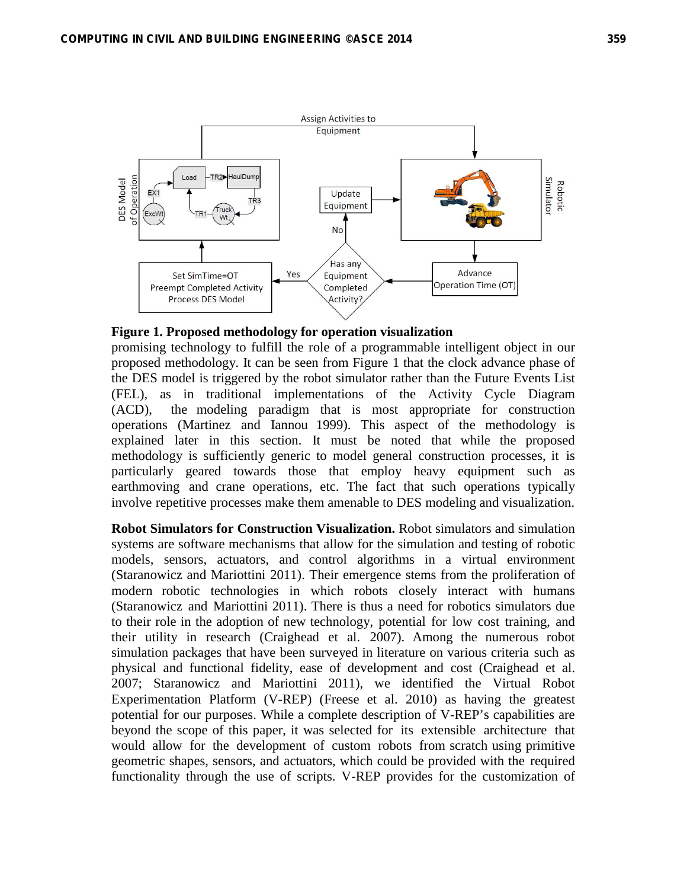

### **Figure 1. Proposed methodology for operation visualization**

promising technology to fulfill the role of a programmable intelligent object in our proposed methodology. It can be seen from Figure 1 that the clock advance phase of the DES model is triggered by the robot simulator rather than the Future Events List (FEL), as in traditional implementations of the Activity Cycle Diagram (ACD), the modeling paradigm that is most appropriate for construction operations (Martinez and Iannou 1999). This aspect of the methodology is explained later in this section. It must be noted that while the proposed methodology is sufficiently generic to model general construction processes, it is particularly geared towards those that employ heavy equipment such as earthmoving and crane operations, etc. The fact that such operations typically involve repetitive processes make them amenable to DES modeling and visualization.

**Robot Simulators for Construction Visualization.** Robot simulators and simulation systems are software mechanisms that allow for the simulation and testing of robotic models, sensors, actuators, and control algorithms in a virtual environment (Staranowicz and Mariottini 2011). Their emergence stems from the proliferation of modern robotic technologies in which robots closely interact with humans (Staranowicz and Mariottini 2011). There is thus a need for robotics simulators due to their role in the adoption of new technology, potential for low cost training, and their utility in research (Craighead et al. 2007). Among the numerous robot simulation packages that have been surveyed in literature on various criteria such as physical and functional fidelity, ease of development and cost (Craighead et al. 2007; Staranowicz and Mariottini 2011), we identified the Virtual Robot Experimentation Platform (V-REP) (Freese et al. 2010) as having the greatest potential for our purposes. While a complete description of V-REP's capabilities are beyond the scope of this paper, it was selected for its extensible architecture that would allow for the development of custom robots from scratch using primitive geometric shapes, sensors, and actuators, which could be provided with the required functionality through the use of scripts. V-REP provides for the customization of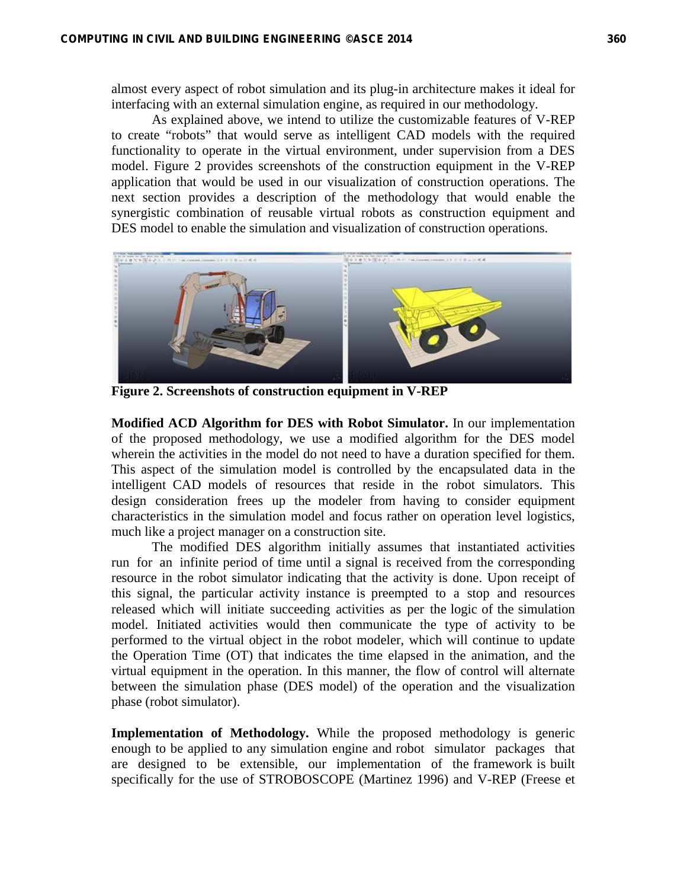almost every aspect of robot simulation and its plug-in architecture makes it ideal for interfacing with an external simulation engine, as required in our methodology.

As explained above, we intend to utilize the customizable features of V-REP to create "robots" that would serve as intelligent CAD models with the required functionality to operate in the virtual environment, under supervision from a DES model. Figure 2 provides screenshots of the construction equipment in the V-REP application that would be used in our visualization of construction operations. The next section provides a description of the methodology that would enable the synergistic combination of reusable virtual robots as construction equipment and DES model to enable the simulation and visualization of construction operations.



**Figure 2. Screenshots of construction equipment in V-REP** 

**Modified ACD Algorithm for DES with Robot Simulator.** In our implementation of the proposed methodology, we use a modified algorithm for the DES model wherein the activities in the model do not need to have a duration specified for them. This aspect of the simulation model is controlled by the encapsulated data in the intelligent CAD models of resources that reside in the robot simulators. This design consideration frees up the modeler from having to consider equipment characteristics in the simulation model and focus rather on operation level logistics, much like a project manager on a construction site.

The modified DES algorithm initially assumes that instantiated activities run for an infinite period of time until a signal is received from the corresponding resource in the robot simulator indicating that the activity is done. Upon receipt of this signal, the particular activity instance is preempted to a stop and resources released which will initiate succeeding activities as per the logic of the simulation model. Initiated activities would then communicate the type of activity to be performed to the virtual object in the robot modeler, which will continue to update the Operation Time (OT) that indicates the time elapsed in the animation, and the virtual equipment in the operation. In this manner, the flow of control will alternate between the simulation phase (DES model) of the operation and the visualization phase (robot simulator).

**Implementation of Methodology.** While the proposed methodology is generic enough to be applied to any simulation engine and robot simulator packages that are designed to be extensible, our implementation of the framework is built specifically for the use of STROBOSCOPE (Martinez 1996) and V-REP (Freese et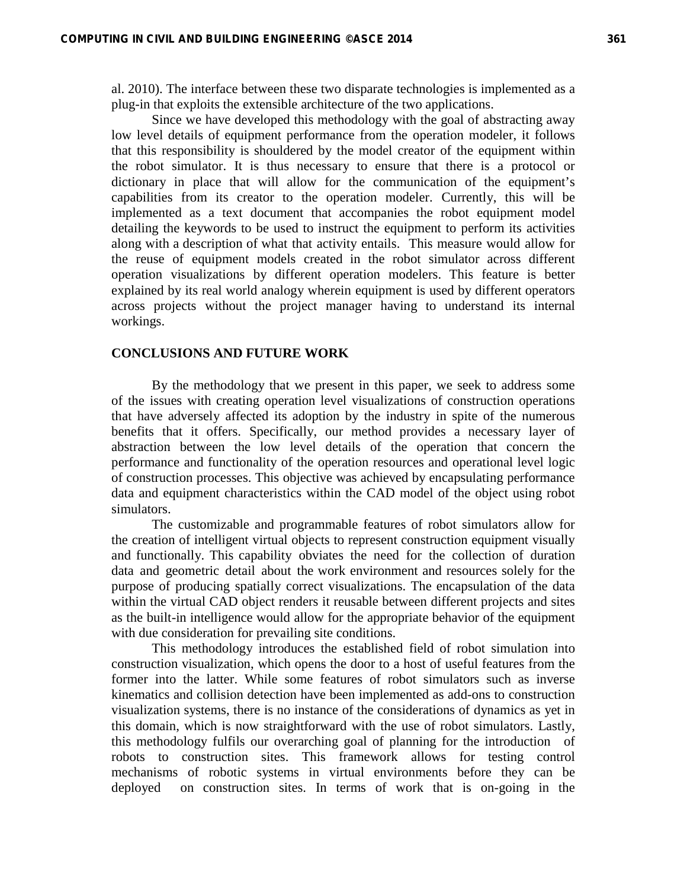Since we have developed this methodology with the goal of abstracting away low level details of equipment performance from the operation modeler, it follows that this responsibility is shouldered by the model creator of the equipment within the robot simulator. It is thus necessary to ensure that there is a protocol or dictionary in place that will allow for the communication of the equipment's capabilities from its creator to the operation modeler. Currently, this will be implemented as a text document that accompanies the robot equipment model detailing the keywords to be used to instruct the equipment to perform its activities along with a description of what that activity entails. This measure would allow for the reuse of equipment models created in the robot simulator across different operation visualizations by different operation modelers. This feature is better explained by its real world analogy wherein equipment is used by different operators across projects without the project manager having to understand its internal workings.

### **CONCLUSIONS AND FUTURE WORK**

By the methodology that we present in this paper, we seek to address some of the issues with creating operation level visualizations of construction operations that have adversely affected its adoption by the industry in spite of the numerous benefits that it offers. Specifically, our method provides a necessary layer of abstraction between the low level details of the operation that concern the performance and functionality of the operation resources and operational level logic of construction processes. This objective was achieved by encapsulating performance data and equipment characteristics within the CAD model of the object using robot simulators.

The customizable and programmable features of robot simulators allow for the creation of intelligent virtual objects to represent construction equipment visually and functionally. This capability obviates the need for the collection of duration data and geometric detail about the work environment and resources solely for the purpose of producing spatially correct visualizations. The encapsulation of the data within the virtual CAD object renders it reusable between different projects and sites as the built-in intelligence would allow for the appropriate behavior of the equipment with due consideration for prevailing site conditions.

This methodology introduces the established field of robot simulation into construction visualization, which opens the door to a host of useful features from the former into the latter. While some features of robot simulators such as inverse kinematics and collision detection have been implemented as add-ons to construction visualization systems, there is no instance of the considerations of dynamics as yet in this domain, which is now straightforward with the use of robot simulators. Lastly, this methodology fulfils our overarching goal of planning for the introduction of robots to construction sites. This framework allows for testing control mechanisms of robotic systems in virtual environments before they can be deployed on construction sites. In terms of work that is on-going in the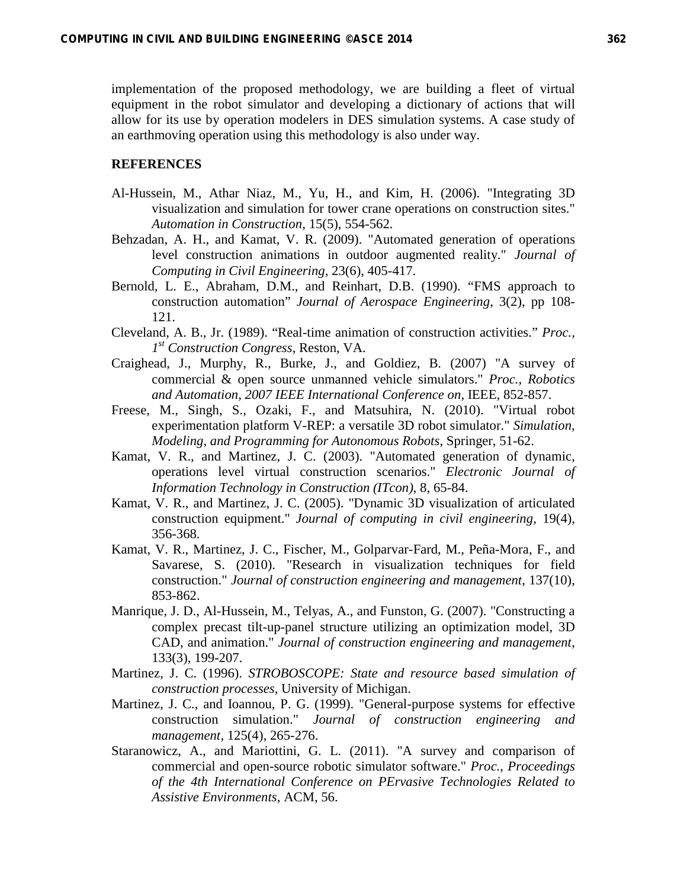implementation of the proposed methodology, we are building a fleet of virtual equipment in the robot simulator and developing a dictionary of actions that will allow for its use by operation modelers in DES simulation systems. A case study of an earthmoving operation using this methodology is also under way.

## **REFERENCES**

- Al-Hussein, M., Athar Niaz, M., Yu, H., and Kim, H. (2006). "Integrating 3D visualization and simulation for tower crane operations on construction sites." *Automation in Construction*, 15(5), 554-562.
- Behzadan, A. H., and Kamat, V. R. (2009). "Automated generation of operations level construction animations in outdoor augmented reality." *Journal of Computing in Civil Engineering*, 23(6), 405-417.
- Bernold, L. E., Abraham, D.M., and Reinhart, D.B. (1990). "FMS approach to construction automation" *Journal of Aerospace Engineering*, 3(2), pp 108- 121.
- Cleveland, A. B., Jr. (1989). "Real-time animation of construction activities." *Proc., 1st Construction Congress*, Reston, VA.
- Craighead, J., Murphy, R., Burke, J., and Goldiez, B. (2007) "A survey of commercial & open source unmanned vehicle simulators." *Proc., Robotics and Automation, 2007 IEEE International Conference on*, IEEE, 852-857.
- Freese, M., Singh, S., Ozaki, F., and Matsuhira, N. (2010). "Virtual robot experimentation platform V-REP: a versatile 3D robot simulator." *Simulation, Modeling, and Programming for Autonomous Robots*, Springer, 51-62.
- Kamat, V. R., and Martinez, J. C. (2003). "Automated generation of dynamic, operations level virtual construction scenarios." *Electronic Journal of Information Technology in Construction (ITcon)*, 8, 65-84.
- Kamat, V. R., and Martinez, J. C. (2005). "Dynamic 3D visualization of articulated construction equipment." *Journal of computing in civil engineering*, 19(4), 356-368.
- Kamat, V. R., Martinez, J. C., Fischer, M., Golparvar-Fard, M., Peña-Mora, F., and Savarese, S. (2010). "Research in visualization techniques for field construction." *Journal of construction engineering and management*, 137(10), 853-862.
- Manrique, J. D., Al-Hussein, M., Telyas, A., and Funston, G. (2007). "Constructing a complex precast tilt-up-panel structure utilizing an optimization model, 3D CAD, and animation." *Journal of construction engineering and management*, 133(3), 199-207.
- Martinez, J. C. (1996). *STROBOSCOPE: State and resource based simulation of construction processes*, University of Michigan.
- Martinez, J. C., and Ioannou, P. G. (1999). "General-purpose systems for effective construction simulation." *Journal of construction engineering and management*, 125(4), 265-276.
- Staranowicz, A., and Mariottini, G. L. (2011). "A survey and comparison of commercial and open-source robotic simulator software." *Proc., Proceedings of the 4th International Conference on PErvasive Technologies Related to Assistive Environments*, ACM, 56.